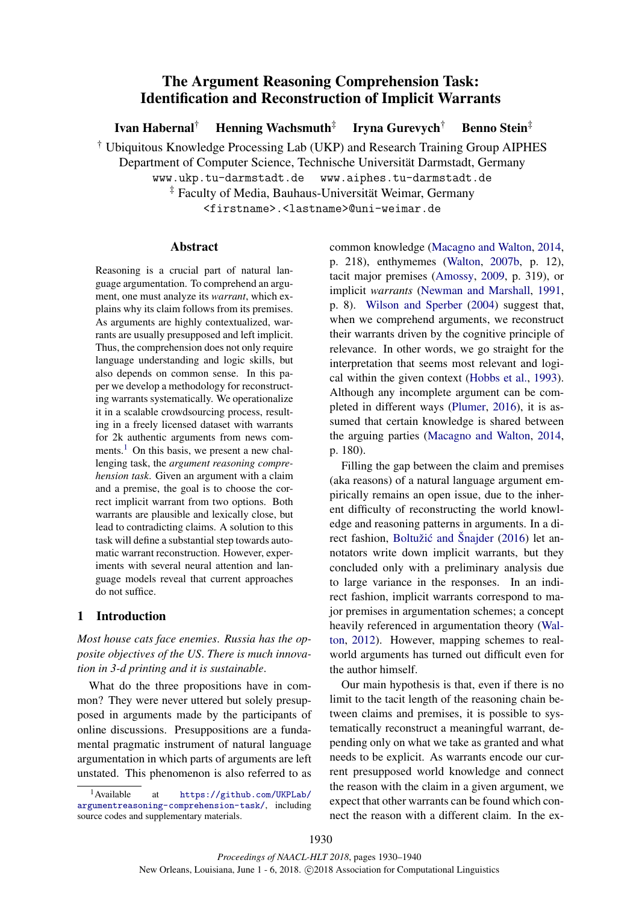# The Argument Reasoning Comprehension Task: Identification and Reconstruction of Implicit Warrants

Ivan Habernal<sup>†</sup> Henning Wachsmuth<sup>‡</sup> Iryna Gurevych† Benno Stein‡

† Ubiquitous Knowledge Processing Lab (UKP) and Research Training Group AIPHES

Department of Computer Science, Technische Universitat Darmstadt, Germany ¨

www.ukp.tu-darmstadt.de www.aiphes.tu-darmstadt.de

‡ Faculty of Media, Bauhaus-Universitat Weimar, Germany ¨

<firstname>.<lastname>@uni-weimar.de

## Abstract

Reasoning is a crucial part of natural language argumentation. To comprehend an argument, one must analyze its *warrant*, which explains why its claim follows from its premises. As arguments are highly contextualized, warrants are usually presupposed and left implicit. Thus, the comprehension does not only require language understanding and logic skills, but also depends on common sense. In this paper we develop a methodology for reconstructing warrants systematically. We operationalize it in a scalable crowdsourcing process, resulting in a freely licensed dataset with warrants for 2k authentic arguments from news comments.<sup>1</sup> On this basis, we present a new challenging task, the *argument reasoning comprehension task*. Given an argument with a claim and a premise, the goal is to choose the correct implicit warrant from two options. Both warrants are plausible and lexically close, but lead to contradicting claims. A solution to this task will define a substantial step towards automatic warrant reconstruction. However, experiments with several neural attention and language models reveal that current approaches do not suffice.

## 1 Introduction

*Most house cats face enemies*. *Russia has the opposite objectives of the US*. *There is much innovation in 3-d printing and it is sustainable*.

What do the three propositions have in common? They were never uttered but solely presupposed in arguments made by the participants of online discussions. Presuppositions are a fundamental pragmatic instrument of natural language argumentation in which parts of arguments are left unstated. This phenomenon is also referred to as

common knowledge (Macagno and Walton, 2014, p. 218), enthymemes (Walton, 2007b, p. 12), tacit major premises (Amossy, 2009, p. 319), or implicit *warrants* (Newman and Marshall, 1991, p. 8). Wilson and Sperber (2004) suggest that, when we comprehend arguments, we reconstruct their warrants driven by the cognitive principle of relevance. In other words, we go straight for the interpretation that seems most relevant and logical within the given context (Hobbs et al., 1993). Although any incomplete argument can be completed in different ways (Plumer, 2016), it is assumed that certain knowledge is shared between the arguing parties (Macagno and Walton, 2014, p. 180).

Filling the gap between the claim and premises (aka reasons) of a natural language argument empirically remains an open issue, due to the inherent difficulty of reconstructing the world knowledge and reasoning patterns in arguments. In a direct fashion, Boltužić and Šnajder (2016) let annotators write down implicit warrants, but they concluded only with a preliminary analysis due to large variance in the responses. In an indirect fashion, implicit warrants correspond to major premises in argumentation schemes; a concept heavily referenced in argumentation theory (Walton, 2012). However, mapping schemes to realworld arguments has turned out difficult even for the author himself.

Our main hypothesis is that, even if there is no limit to the tacit length of the reasoning chain between claims and premises, it is possible to systematically reconstruct a meaningful warrant, depending only on what we take as granted and what needs to be explicit. As warrants encode our current presupposed world knowledge and connect the reason with the claim in a given argument, we expect that other warrants can be found which connect the reason with a different claim. In the ex-

<sup>1</sup>Available at https://github.com/UKPLab/ argumentreasoning-comprehension-task/, including source codes and supplementary materials.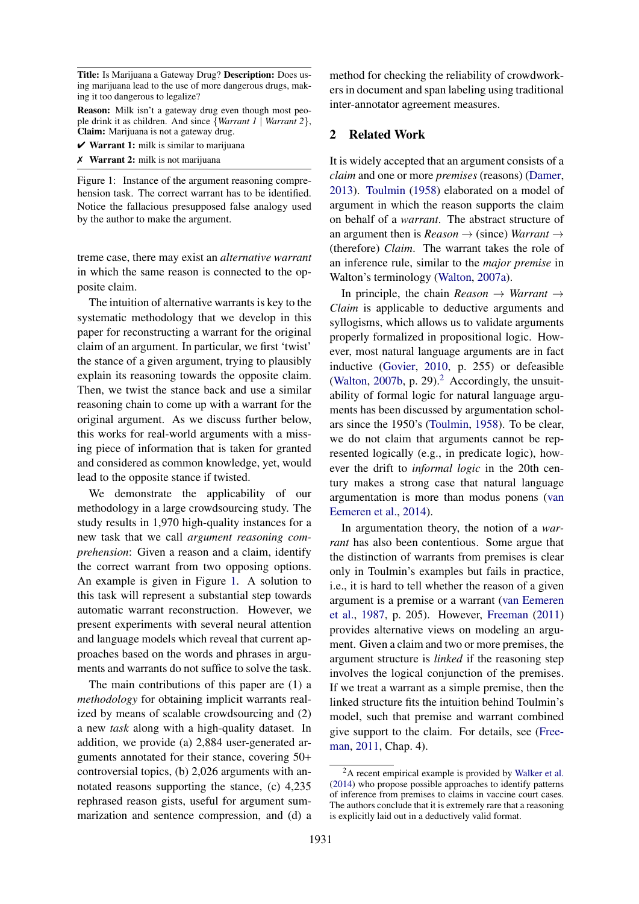Title: Is Marijuana a Gateway Drug? Description: Does using marijuana lead to the use of more dangerous drugs, making it too dangerous to legalize?

Reason: Milk isn't a gateway drug even though most people drink it as children. And since {*Warrant 1* | *Warrant 2*}, Claim: Marijuana is not a gateway drug.

 $\checkmark$  Warrant 1: milk is similar to marijuana

✗ Warrant 2: milk is not marijuana

Figure 1: Instance of the argument reasoning comprehension task. The correct warrant has to be identified. Notice the fallacious presupposed false analogy used by the author to make the argument.

treme case, there may exist an *alternative warrant* in which the same reason is connected to the opposite claim.

The intuition of alternative warrants is key to the systematic methodology that we develop in this paper for reconstructing a warrant for the original claim of an argument. In particular, we first 'twist' the stance of a given argument, trying to plausibly explain its reasoning towards the opposite claim. Then, we twist the stance back and use a similar reasoning chain to come up with a warrant for the original argument. As we discuss further below, this works for real-world arguments with a missing piece of information that is taken for granted and considered as common knowledge, yet, would lead to the opposite stance if twisted.

We demonstrate the applicability of our methodology in a large crowdsourcing study. The study results in 1,970 high-quality instances for a new task that we call *argument reasoning comprehension*: Given a reason and a claim, identify the correct warrant from two opposing options. An example is given in Figure 1. A solution to this task will represent a substantial step towards automatic warrant reconstruction. However, we present experiments with several neural attention and language models which reveal that current approaches based on the words and phrases in arguments and warrants do not suffice to solve the task.

The main contributions of this paper are (1) a *methodology* for obtaining implicit warrants realized by means of scalable crowdsourcing and (2) a new *task* along with a high-quality dataset. In addition, we provide (a) 2,884 user-generated arguments annotated for their stance, covering 50+ controversial topics, (b) 2,026 arguments with annotated reasons supporting the stance, (c) 4,235 rephrased reason gists, useful for argument summarization and sentence compression, and (d) a

method for checking the reliability of crowdworkers in document and span labeling using traditional inter-annotator agreement measures.

# 2 Related Work

It is widely accepted that an argument consists of a *claim* and one or more *premises* (reasons) (Damer, 2013). Toulmin (1958) elaborated on a model of argument in which the reason supports the claim on behalf of a *warrant*. The abstract structure of an argument then is  $Reason \rightarrow$  (since) *Warrant*  $\rightarrow$ (therefore) *Claim*. The warrant takes the role of an inference rule, similar to the *major premise* in Walton's terminology (Walton, 2007a).

In principle, the chain  $Reason \rightarrow Warren \rightarrow$ *Claim* is applicable to deductive arguments and syllogisms, which allows us to validate arguments properly formalized in propositional logic. However, most natural language arguments are in fact inductive (Govier, 2010, p. 255) or defeasible (Walton, 2007b, p. 29). $^2$  Accordingly, the unsuitability of formal logic for natural language arguments has been discussed by argumentation scholars since the 1950's (Toulmin, 1958). To be clear, we do not claim that arguments cannot be represented logically (e.g., in predicate logic), however the drift to *informal logic* in the 20th century makes a strong case that natural language argumentation is more than modus ponens (van Eemeren et al., 2014).

In argumentation theory, the notion of a *warrant* has also been contentious. Some argue that the distinction of warrants from premises is clear only in Toulmin's examples but fails in practice, i.e., it is hard to tell whether the reason of a given argument is a premise or a warrant (van Eemeren et al., 1987, p. 205). However, Freeman (2011) provides alternative views on modeling an argument. Given a claim and two or more premises, the argument structure is *linked* if the reasoning step involves the logical conjunction of the premises. If we treat a warrant as a simple premise, then the linked structure fits the intuition behind Toulmin's model, such that premise and warrant combined give support to the claim. For details, see (Freeman, 2011, Chap. 4).

<sup>2</sup>A recent empirical example is provided by Walker et al. (2014) who propose possible approaches to identify patterns of inference from premises to claims in vaccine court cases. The authors conclude that it is extremely rare that a reasoning is explicitly laid out in a deductively valid format.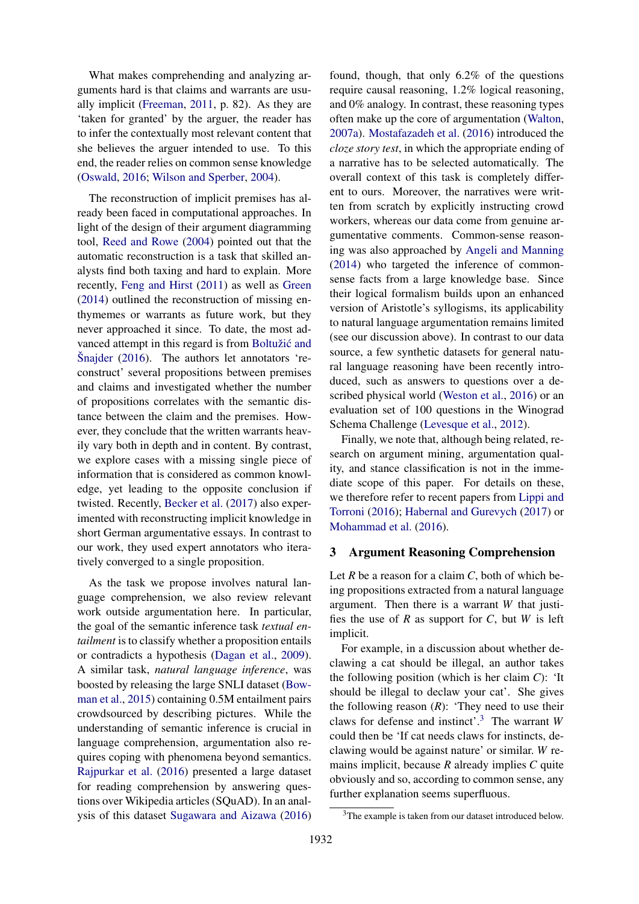What makes comprehending and analyzing arguments hard is that claims and warrants are usually implicit (Freeman, 2011, p. 82). As they are 'taken for granted' by the arguer, the reader has to infer the contextually most relevant content that she believes the arguer intended to use. To this end, the reader relies on common sense knowledge (Oswald, 2016; Wilson and Sperber, 2004).

The reconstruction of implicit premises has already been faced in computational approaches. In light of the design of their argument diagramming tool, Reed and Rowe (2004) pointed out that the automatic reconstruction is a task that skilled analysts find both taxing and hard to explain. More recently, Feng and Hirst (2011) as well as Green (2014) outlined the reconstruction of missing enthymemes or warrants as future work, but they never approached it since. To date, the most advanced attempt in this regard is from Boltužić and Snajder  $(2016)$ . The authors let annotators 'reconstruct' several propositions between premises and claims and investigated whether the number of propositions correlates with the semantic distance between the claim and the premises. However, they conclude that the written warrants heavily vary both in depth and in content. By contrast, we explore cases with a missing single piece of information that is considered as common knowledge, yet leading to the opposite conclusion if twisted. Recently, Becker et al. (2017) also experimented with reconstructing implicit knowledge in short German argumentative essays. In contrast to our work, they used expert annotators who iteratively converged to a single proposition.

As the task we propose involves natural language comprehension, we also review relevant work outside argumentation here. In particular, the goal of the semantic inference task *textual entailment* is to classify whether a proposition entails or contradicts a hypothesis (Dagan et al., 2009). A similar task, *natural language inference*, was boosted by releasing the large SNLI dataset (Bowman et al., 2015) containing 0.5M entailment pairs crowdsourced by describing pictures. While the understanding of semantic inference is crucial in language comprehension, argumentation also requires coping with phenomena beyond semantics. Rajpurkar et al. (2016) presented a large dataset for reading comprehension by answering questions over Wikipedia articles (SQuAD). In an analysis of this dataset Sugawara and Aizawa (2016)

found, though, that only 6.2% of the questions require causal reasoning, 1.2% logical reasoning, and 0% analogy. In contrast, these reasoning types often make up the core of argumentation (Walton, 2007a). Mostafazadeh et al. (2016) introduced the *cloze story test*, in which the appropriate ending of a narrative has to be selected automatically. The overall context of this task is completely different to ours. Moreover, the narratives were written from scratch by explicitly instructing crowd workers, whereas our data come from genuine argumentative comments. Common-sense reasoning was also approached by Angeli and Manning (2014) who targeted the inference of commonsense facts from a large knowledge base. Since their logical formalism builds upon an enhanced version of Aristotle's syllogisms, its applicability to natural language argumentation remains limited (see our discussion above). In contrast to our data source, a few synthetic datasets for general natural language reasoning have been recently introduced, such as answers to questions over a described physical world (Weston et al., 2016) or an evaluation set of 100 questions in the Winograd Schema Challenge (Levesque et al., 2012).

Finally, we note that, although being related, research on argument mining, argumentation quality, and stance classification is not in the immediate scope of this paper. For details on these, we therefore refer to recent papers from Lippi and Torroni (2016); Habernal and Gurevych (2017) or Mohammad et al. (2016).

#### 3 Argument Reasoning Comprehension

Let *R* be a reason for a claim *C*, both of which being propositions extracted from a natural language argument. Then there is a warrant *W* that justifies the use of *R* as support for *C*, but *W* is left implicit.

For example, in a discussion about whether declawing a cat should be illegal, an author takes the following position (which is her claim *C*): 'It should be illegal to declaw your cat'. She gives the following reason  $(R)$ : 'They need to use their claws for defense and instinct'.<sup>3</sup> The warrant *W* could then be 'If cat needs claws for instincts, declawing would be against nature' or similar. *W* remains implicit, because *R* already implies *C* quite obviously and so, according to common sense, any further explanation seems superfluous.

<sup>3</sup>The example is taken from our dataset introduced below.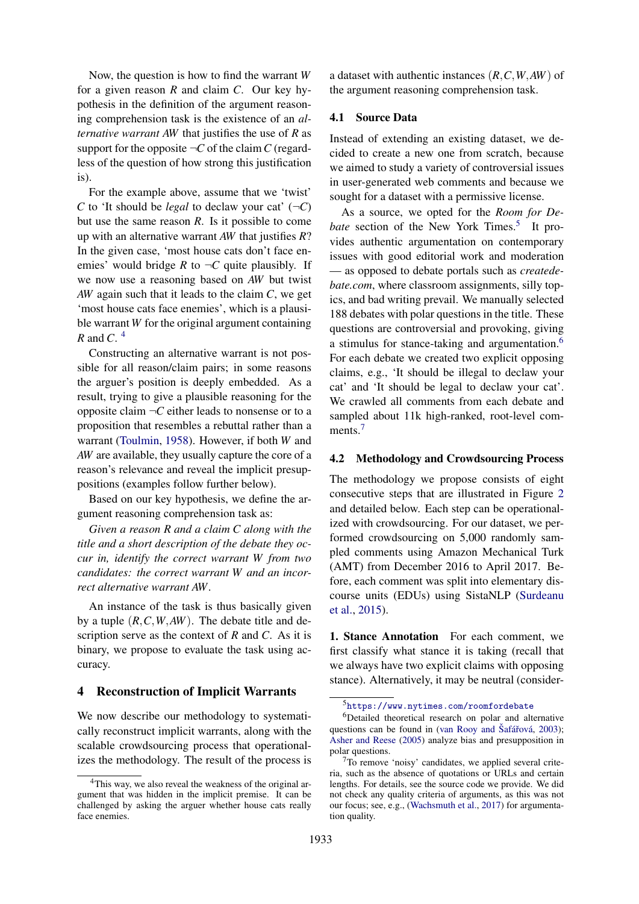Now, the question is how to find the warrant *W* for a given reason *R* and claim *C*. Our key hypothesis in the definition of the argument reasoning comprehension task is the existence of an *alternative warrant AW* that justifies the use of *R* as support for the opposite  $\neg C$  of the claim *C* (regardless of the question of how strong this justification is).

For the example above, assume that we 'twist' *C* to 'It should be *legal* to declaw your cat'  $(\neg C)$ but use the same reason *R*. Is it possible to come up with an alternative warrant *AW* that justifies *R*? In the given case, 'most house cats don't face enemies' would bridge *R* to  $\neg C$  quite plausibly. If we now use a reasoning based on *AW* but twist *AW* again such that it leads to the claim *C*, we get 'most house cats face enemies', which is a plausible warrant *W* for the original argument containing *R* and *C*. 4

Constructing an alternative warrant is not possible for all reason/claim pairs; in some reasons the arguer's position is deeply embedded. As a result, trying to give a plausible reasoning for the opposite claim  $\neg C$  either leads to nonsense or to a proposition that resembles a rebuttal rather than a warrant (Toulmin, 1958). However, if both *W* and *AW* are available, they usually capture the core of a reason's relevance and reveal the implicit presuppositions (examples follow further below).

Based on our key hypothesis, we define the argument reasoning comprehension task as:

*Given a reason R and a claim C along with the title and a short description of the debate they occur in, identify the correct warrant W from two candidates: the correct warrant W and an incorrect alternative warrant AW.*

An instance of the task is thus basically given by a tuple (*R*,*C*,*W*,*AW*). The debate title and description serve as the context of *R* and *C*. As it is binary, we propose to evaluate the task using accuracy.

#### 4 Reconstruction of Implicit Warrants

We now describe our methodology to systematically reconstruct implicit warrants, along with the scalable crowdsourcing process that operationalizes the methodology. The result of the process is a dataset with authentic instances (*R*,*C*,*W*,*AW*) of the argument reasoning comprehension task.

## 4.1 Source Data

Instead of extending an existing dataset, we decided to create a new one from scratch, because we aimed to study a variety of controversial issues in user-generated web comments and because we sought for a dataset with a permissive license.

As a source, we opted for the *Room for De*bate section of the New York Times.<sup>5</sup> It provides authentic argumentation on contemporary issues with good editorial work and moderation — as opposed to debate portals such as *createdebate.com*, where classroom assignments, silly topics, and bad writing prevail. We manually selected 188 debates with polar questions in the title. These questions are controversial and provoking, giving a stimulus for stance-taking and argumentation.<sup>6</sup> For each debate we created two explicit opposing claims, e.g., 'It should be illegal to declaw your cat' and 'It should be legal to declaw your cat'. We crawled all comments from each debate and sampled about 11k high-ranked, root-level comments.<sup>7</sup>

## 4.2 Methodology and Crowdsourcing Process

The methodology we propose consists of eight consecutive steps that are illustrated in Figure 2 and detailed below. Each step can be operationalized with crowdsourcing. For our dataset, we performed crowdsourcing on 5,000 randomly sampled comments using Amazon Mechanical Turk (AMT) from December 2016 to April 2017. Before, each comment was split into elementary discourse units (EDUs) using SistaNLP (Surdeanu et al., 2015).

1. Stance Annotation For each comment, we first classify what stance it is taking (recall that we always have two explicit claims with opposing stance). Alternatively, it may be neutral (consider-

<sup>&</sup>lt;sup>4</sup>This way, we also reveal the weakness of the original argument that was hidden in the implicit premise. It can be challenged by asking the arguer whether house cats really face enemies.

<sup>5</sup>https://www.nytimes.com/roomfordebate

<sup>&</sup>lt;sup>6</sup>Detailed theoretical research on polar and alternative questions can be found in (van Rooy and Šafářová, 2003); Asher and Reese (2005) analyze bias and presupposition in polar questions.

 $7$ To remove 'noisy' candidates, we applied several criteria, such as the absence of quotations or URLs and certain lengths. For details, see the source code we provide. We did not check any quality criteria of arguments, as this was not our focus; see, e.g., (Wachsmuth et al., 2017) for argumentation quality.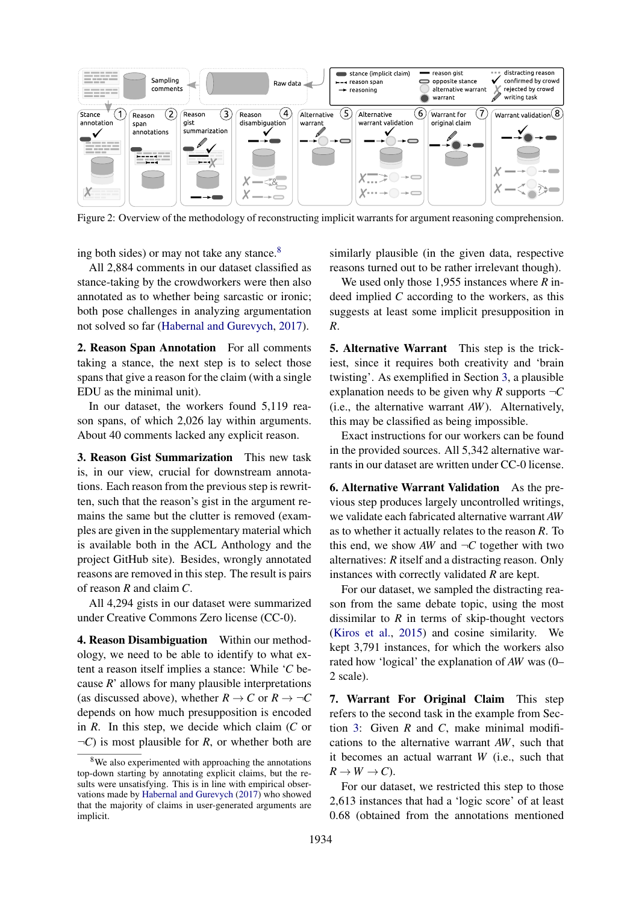

Figure 2: Overview of the methodology of reconstructing implicit warrants for argument reasoning comprehension.

ing both sides) or may not take any stance.<sup>8</sup>

All 2,884 comments in our dataset classified as stance-taking by the crowdworkers were then also annotated as to whether being sarcastic or ironic; both pose challenges in analyzing argumentation not solved so far (Habernal and Gurevych, 2017).

2. Reason Span Annotation For all comments taking a stance, the next step is to select those spans that give a reason for the claim (with a single EDU as the minimal unit).

In our dataset, the workers found 5,119 reason spans, of which 2,026 lay within arguments. About 40 comments lacked any explicit reason.

3. Reason Gist Summarization This new task is, in our view, crucial for downstream annotations. Each reason from the previous step is rewritten, such that the reason's gist in the argument remains the same but the clutter is removed (examples are given in the supplementary material which is available both in the ACL Anthology and the project GitHub site). Besides, wrongly annotated reasons are removed in this step. The result is pairs of reason *R* and claim *C*.

All 4,294 gists in our dataset were summarized under Creative Commons Zero license (CC-0).

4. Reason Disambiguation Within our methodology, we need to be able to identify to what extent a reason itself implies a stance: While '*C* because *R*' allows for many plausible interpretations (as discussed above), whether  $R \to C$  or  $R \to \neg C$ depends on how much presupposition is encoded in *R*. In this step, we decide which claim (*C* or  $\neg C$ ) is most plausible for *R*, or whether both are

similarly plausible (in the given data, respective reasons turned out to be rather irrelevant though).

We used only those 1,955 instances where *R* indeed implied *C* according to the workers, as this suggests at least some implicit presupposition in *R*.

5. Alternative Warrant This step is the trickiest, since it requires both creativity and 'brain twisting'. As exemplified in Section 3, a plausible explanation needs to be given why *R* supports  $\neg C$ (i.e., the alternative warrant *AW*). Alternatively, this may be classified as being impossible.

Exact instructions for our workers can be found in the provided sources. All 5,342 alternative warrants in our dataset are written under CC-0 license.

6. Alternative Warrant Validation As the previous step produces largely uncontrolled writings, we validate each fabricated alternative warrant *AW* as to whether it actually relates to the reason *R*. To this end, we show *AW* and  $\neg C$  together with two alternatives: *R* itself and a distracting reason. Only instances with correctly validated *R* are kept.

For our dataset, we sampled the distracting reason from the same debate topic, using the most dissimilar to  $R$  in terms of skip-thought vectors (Kiros et al., 2015) and cosine similarity. We kept 3,791 instances, for which the workers also rated how 'logical' the explanation of *AW* was (0– 2 scale).

7. Warrant For Original Claim This step refers to the second task in the example from Section 3: Given *R* and *C*, make minimal modifications to the alternative warrant *AW*, such that it becomes an actual warrant *W* (i.e., such that  $R \rightarrow W \rightarrow C$ ).

For our dataset, we restricted this step to those 2,613 instances that had a 'logic score' of at least 0.68 (obtained from the annotations mentioned

<sup>&</sup>lt;sup>8</sup>We also experimented with approaching the annotations top-down starting by annotating explicit claims, but the results were unsatisfying. This is in line with empirical observations made by Habernal and Gurevych (2017) who showed that the majority of claims in user-generated arguments are implicit.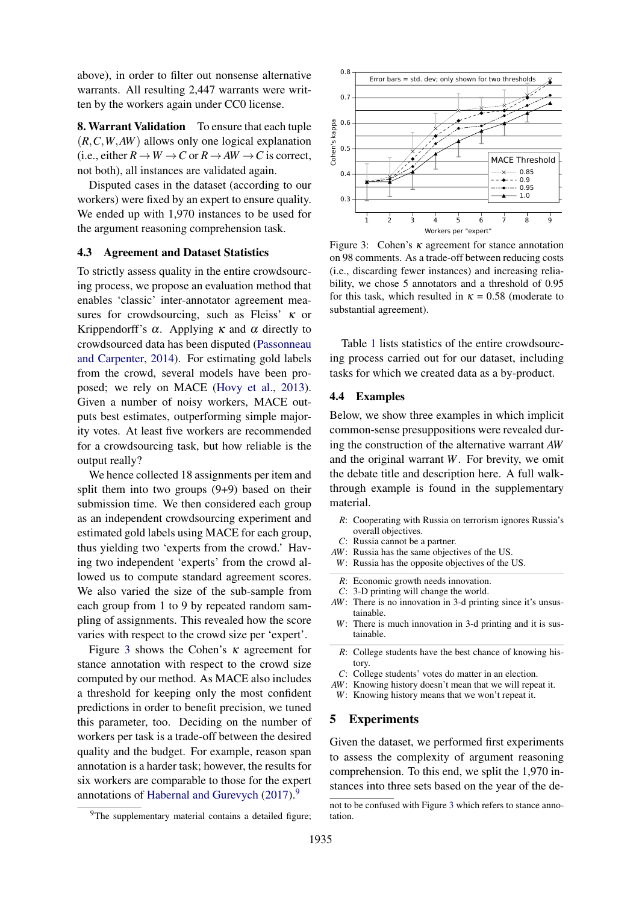above), in order to filter out nonsense alternative warrants. All resulting 2,447 warrants were written by the workers again under CC0 license.

8. Warrant Validation To ensure that each tuple (*R*,*C*,*W*,*AW*) allows only one logical explanation (i.e., either  $R \to W \to C$  or  $R \to AW \to C$  is correct, not both), all instances are validated again.

Disputed cases in the dataset (according to our workers) were fixed by an expert to ensure quality. We ended up with 1,970 instances to be used for the argument reasoning comprehension task.

### 4.3 Agreement and Dataset Statistics

To strictly assess quality in the entire crowdsourcing process, we propose an evaluation method that enables 'classic' inter-annotator agreement measures for crowdsourcing, such as Fleiss'  $\kappa$  or Krippendorff's  $\alpha$ . Applying  $\kappa$  and  $\alpha$  directly to crowdsourced data has been disputed (Passonneau and Carpenter, 2014). For estimating gold labels from the crowd, several models have been proposed; we rely on MACE (Hovy et al., 2013). Given a number of noisy workers, MACE outputs best estimates, outperforming simple majority votes. At least five workers are recommended for a crowdsourcing task, but how reliable is the output really?

We hence collected 18 assignments per item and split them into two groups (9+9) based on their submission time. We then considered each group as an independent crowdsourcing experiment and estimated gold labels using MACE for each group, thus yielding two 'experts from the crowd.' Having two independent 'experts' from the crowd allowed us to compute standard agreement scores. We also varied the size of the sub-sample from each group from 1 to 9 by repeated random sampling of assignments. This revealed how the score varies with respect to the crowd size per 'expert'.

Figure 3 shows the Cohen's  $\kappa$  agreement for stance annotation with respect to the crowd size computed by our method. As MACE also includes a threshold for keeping only the most confident predictions in order to benefit precision, we tuned this parameter, too. Deciding on the number of workers per task is a trade-off between the desired quality and the budget. For example, reason span annotation is a harder task; however, the results for six workers are comparable to those for the expert annotations of Habernal and Gurevych  $(2017)$ .<sup>9</sup>



Figure 3: Cohen's  $\kappa$  agreement for stance annotation on 98 comments. As a trade-off between reducing costs (i.e., discarding fewer instances) and increasing reliability, we chose 5 annotators and a threshold of 0.95 for this task, which resulted in  $\kappa = 0.58$  (moderate to substantial agreement).

Table 1 lists statistics of the entire crowdsourcing process carried out for our dataset, including tasks for which we created data as a by-product.

#### 4.4 Examples

Below, we show three examples in which implicit common-sense presuppositions were revealed during the construction of the alternative warrant *AW* and the original warrant *W*. For brevity, we omit the debate title and description here. A full walkthrough example is found in the supplementary material.

- *R*: Cooperating with Russia on terrorism ignores Russia's overall objectives.
- *C*: Russia cannot be a partner.
- *AW*: Russia has the same objectives of the US.
- *W*: Russia has the opposite objectives of the US.
- *R*: Economic growth needs innovation.
- *C*: 3-D printing will change the world.
- *AW*: There is no innovation in 3-d printing since it's unsustainable.
- *W*: There is much innovation in 3-d printing and it is sustainable.
- *R*: College students have the best chance of knowing history.
- *C*: College students' votes do matter in an election.
- *AW*: Knowing history doesn't mean that we will repeat it.
- *W*: Knowing history means that we won't repeat it.

#### 5 Experiments

Given the dataset, we performed first experiments to assess the complexity of argument reasoning comprehension. To this end, we split the 1,970 instances into three sets based on the year of the de-

<sup>&</sup>lt;sup>9</sup>The supplementary material contains a detailed figure;

not to be confused with Figure 3 which refers to stance annotation.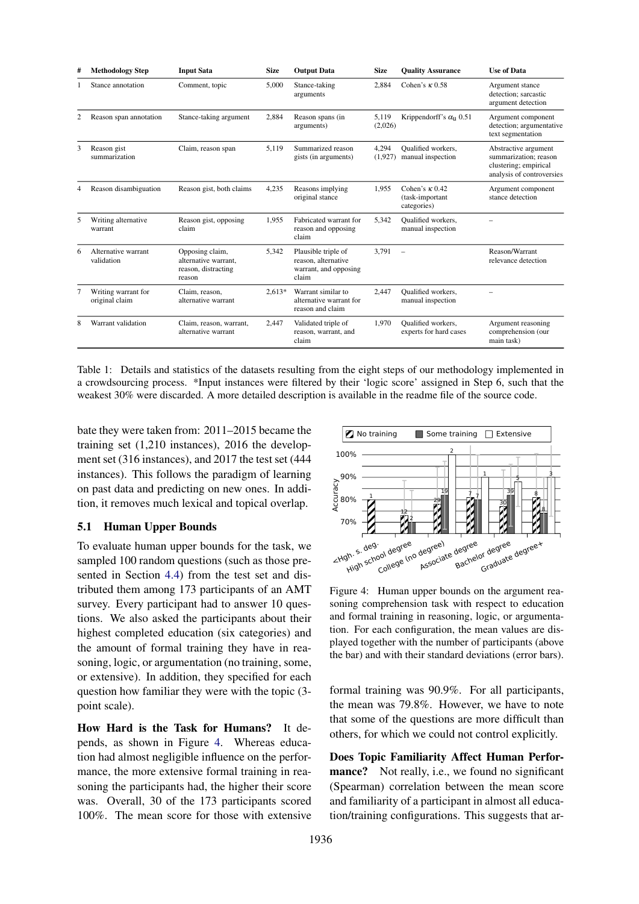| # | <b>Methodology Step</b>               | <b>Input Sata</b>                                                        | <b>Size</b> | <b>Output Data</b>                                                           | <b>Size</b>      | <b>Quality Assurance</b>                                | <b>Use of Data</b>                                                                                  |
|---|---------------------------------------|--------------------------------------------------------------------------|-------------|------------------------------------------------------------------------------|------------------|---------------------------------------------------------|-----------------------------------------------------------------------------------------------------|
|   | Stance annotation                     | Comment, topic                                                           | 5.000       | Stance-taking<br>arguments                                                   | 2,884            | Cohen's $\kappa$ 0.58                                   | Argument stance<br>detection: sarcastic<br>argument detection                                       |
|   | Reason span annotation                | Stance-taking argument                                                   | 2,884       | Reason spans (in<br>arguments)                                               | 5,119<br>(2,026) | Krippendorff's $\alpha_{11}$ 0.51                       | Argument component<br>detection; argumentative<br>text segmentation                                 |
| 3 | Reason gist<br>summarization          | Claim, reason span                                                       | 5.119       | Summarized reason<br>gists (in arguments)                                    | 4,294<br>(1,927) | <b>Oualified</b> workers.<br>manual inspection          | Abstractive argument<br>summarization: reason<br>clustering; empirical<br>analysis of controversies |
| 4 | Reason disambiguation                 | Reason gist, both claims                                                 | 4,235       | Reasons implying<br>original stance                                          | 1,955            | Cohen's $\kappa$ 0.42<br>(task-important<br>categories) | Argument component<br>stance detection                                                              |
| 5 | Writing alternative<br>warrant        | Reason gist, opposing<br>claim                                           | 1.955       | Fabricated warrant for<br>reason and opposing<br>claim                       | 5,342            | <b>Oualified</b> workers.<br>manual inspection          |                                                                                                     |
| 6 | Alternative warrant<br>validation     | Opposing claim,<br>alternative warrant.<br>reason, distracting<br>reason | 5.342       | Plausible triple of<br>reason, alternative<br>warrant, and opposing<br>claim | 3.791            | $\sim$                                                  | Reason/Warrant<br>relevance detection                                                               |
| 7 | Writing warrant for<br>original claim | Claim. reason.<br>alternative warrant                                    | $2.613*$    | Warrant similar to<br>alternative warrant for<br>reason and claim            | 2.447            | <b>Oualified</b> workers.<br>manual inspection          |                                                                                                     |
| 8 | Warrant validation                    | Claim, reason, warrant,<br>alternative warrant                           | 2,447       | Validated triple of<br>reason, warrant, and<br>claim                         | 1,970            | Qualified workers,<br>experts for hard cases            | Argument reasoning<br>comprehension (our<br>main task)                                              |

Table 1: Details and statistics of the datasets resulting from the eight steps of our methodology implemented in a crowdsourcing process. \*Input instances were filtered by their 'logic score' assigned in Step 6, such that the weakest 30% were discarded. A more detailed description is available in the readme file of the source code.

bate they were taken from: 2011–2015 became the training set (1,210 instances), 2016 the development set (316 instances), and 2017 the test set (444 instances). This follows the paradigm of learning on past data and predicting on new ones. In addition, it removes much lexical and topical overlap.

# 5.1 Human Upper Bounds

To evaluate human upper bounds for the task, we sampled 100 random questions (such as those presented in Section 4.4) from the test set and distributed them among 173 participants of an AMT survey. Every participant had to answer 10 questions. We also asked the participants about their highest completed education (six categories) and the amount of formal training they have in reasoning, logic, or argumentation (no training, some, or extensive). In addition, they specified for each question how familiar they were with the topic (3 point scale).

How Hard is the Task for Humans? It depends, as shown in Figure 4. Whereas education had almost negligible influence on the performance, the more extensive formal training in reasoning the participants had, the higher their score was. Overall, 30 of the 173 participants scored 100%. The mean score for those with extensive



Figure 4: Human upper bounds on the argument reasoning comprehension task with respect to education and formal training in reasoning, logic, or argumentation. For each configuration, the mean values are displayed together with the number of participants (above the bar) and with their standard deviations (error bars).

formal training was 90.9%. For all participants, the mean was 79.8%. However, we have to note that some of the questions are more difficult than others, for which we could not control explicitly.

Does Topic Familiarity Affect Human Performance? Not really, i.e., we found no significant (Spearman) correlation between the mean score and familiarity of a participant in almost all education/training configurations. This suggests that ar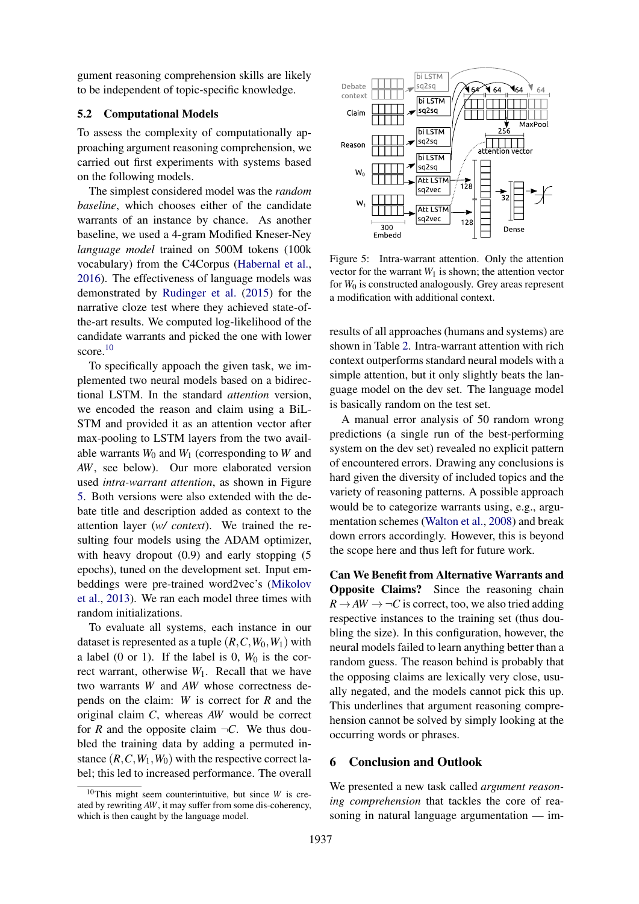gument reasoning comprehension skills are likely to be independent of topic-specific knowledge.

#### 5.2 Computational Models

To assess the complexity of computationally approaching argument reasoning comprehension, we carried out first experiments with systems based on the following models.

The simplest considered model was the *random baseline*, which chooses either of the candidate warrants of an instance by chance. As another baseline, we used a 4-gram Modified Kneser-Ney *language model* trained on 500M tokens (100k vocabulary) from the C4Corpus (Habernal et al., 2016). The effectiveness of language models was demonstrated by Rudinger et al. (2015) for the narrative cloze test where they achieved state-ofthe-art results. We computed log-likelihood of the candidate warrants and picked the one with lower score.<sup>10</sup>

To specifically appoach the given task, we implemented two neural models based on a bidirectional LSTM. In the standard *attention* version, we encoded the reason and claim using a BiL-STM and provided it as an attention vector after max-pooling to LSTM layers from the two available warrants  $W_0$  and  $W_1$  (corresponding to  $W$  and *AW*, see below). Our more elaborated version used *intra-warrant attention*, as shown in Figure 5. Both versions were also extended with the debate title and description added as context to the attention layer (*w/ context*). We trained the resulting four models using the ADAM optimizer, with heavy dropout  $(0.9)$  and early stopping  $(5)$ epochs), tuned on the development set. Input embeddings were pre-trained word2vec's (Mikolov et al., 2013). We ran each model three times with random initializations.

To evaluate all systems, each instance in our dataset is represented as a tuple  $(R, C, W_0, W_1)$  with a label (0 or 1). If the label is 0,  $W_0$  is the correct warrant, otherwise  $W_1$ . Recall that we have two warrants *W* and *AW* whose correctness depends on the claim: *W* is correct for *R* and the original claim *C*, whereas *AW* would be correct for *R* and the opposite claim  $\neg C$ . We thus doubled the training data by adding a permuted instance  $(R, C, W_1, W_0)$  with the respective correct label; this led to increased performance. The overall



Figure 5: Intra-warrant attention. Only the attention vector for the warrant  $W_1$  is shown; the attention vector for *W*<sup>0</sup> is constructed analogously. Grey areas represent a modification with additional context.

results of all approaches (humans and systems) are shown in Table 2. Intra-warrant attention with rich context outperforms standard neural models with a simple attention, but it only slightly beats the language model on the dev set. The language model is basically random on the test set.

A manual error analysis of 50 random wrong predictions (a single run of the best-performing system on the dev set) revealed no explicit pattern of encountered errors. Drawing any conclusions is hard given the diversity of included topics and the variety of reasoning patterns. A possible approach would be to categorize warrants using, e.g., argumentation schemes (Walton et al., 2008) and break down errors accordingly. However, this is beyond the scope here and thus left for future work.

Can We Benefit from Alternative Warrants and Opposite Claims? Since the reasoning chain  $R \rightarrow AW \rightarrow \neg C$  is correct, too, we also tried adding respective instances to the training set (thus doubling the size). In this configuration, however, the neural models failed to learn anything better than a random guess. The reason behind is probably that the opposing claims are lexically very close, usually negated, and the models cannot pick this up. This underlines that argument reasoning comprehension cannot be solved by simply looking at the occurring words or phrases.

## 6 Conclusion and Outlook

We presented a new task called *argument reasoning comprehension* that tackles the core of reasoning in natural language argumentation — im-

<sup>10</sup>This might seem counterintuitive, but since *W* is created by rewriting *AW*, it may suffer from some dis-coherency, which is then caught by the language model.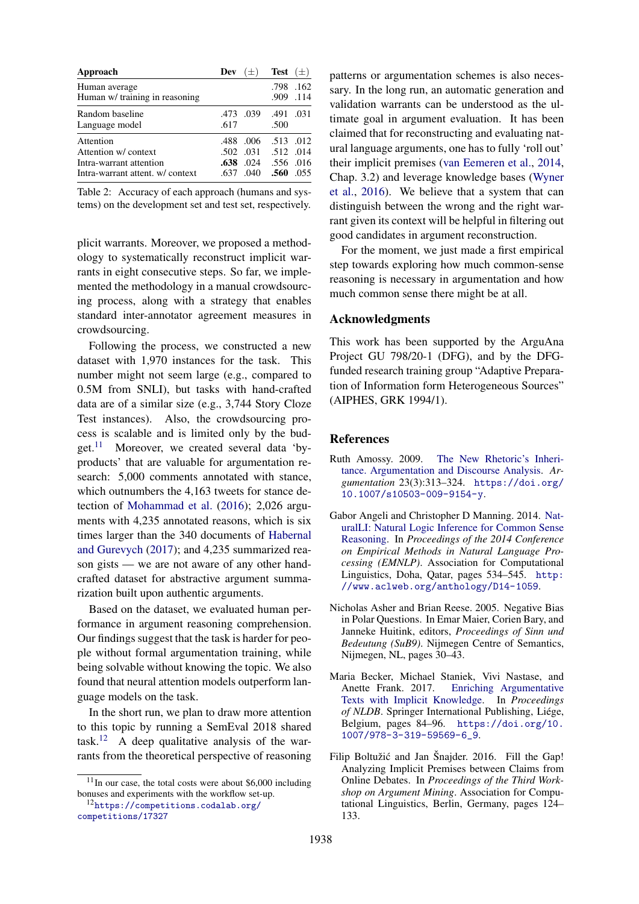| Approach                                                                                       | $(\pm)$<br>Dev                                   | <b>Test</b> $(\pm)$                                   |
|------------------------------------------------------------------------------------------------|--------------------------------------------------|-------------------------------------------------------|
| Human average<br>Human w/ training in reasoning                                                |                                                  | .798.162<br>.909 .114                                 |
| Random baseline<br>Language model                                                              | .473.039<br>.617                                 | .491 .031<br>.500                                     |
| Attention<br>Attention w/context<br>Intra-warrant attention<br>Intra-warrant attent, w/context | .006<br>.488<br>.502<br>.638<br>.024<br>.637.040 | .513 .012<br>.031 .512 .014<br>.556 .016<br>.560 .055 |

Table 2: Accuracy of each approach (humans and systems) on the development set and test set, respectively.

plicit warrants. Moreover, we proposed a methodology to systematically reconstruct implicit warrants in eight consecutive steps. So far, we implemented the methodology in a manual crowdsourcing process, along with a strategy that enables standard inter-annotator agreement measures in crowdsourcing.

Following the process, we constructed a new dataset with 1,970 instances for the task. This number might not seem large (e.g., compared to 0.5M from SNLI), but tasks with hand-crafted data are of a similar size (e.g., 3,744 Story Cloze Test instances). Also, the crowdsourcing process is scalable and is limited only by the budget. $^{11}$  Moreover, we created several data 'byproducts' that are valuable for argumentation research: 5,000 comments annotated with stance, which outnumbers the 4,163 tweets for stance detection of Mohammad et al. (2016); 2,026 arguments with 4,235 annotated reasons, which is six times larger than the 340 documents of Habernal and Gurevych (2017); and 4,235 summarized reason gists — we are not aware of any other handcrafted dataset for abstractive argument summarization built upon authentic arguments.

Based on the dataset, we evaluated human performance in argument reasoning comprehension. Our findings suggest that the task is harder for people without formal argumentation training, while being solvable without knowing the topic. We also found that neural attention models outperform language models on the task.

In the short run, we plan to draw more attention to this topic by running a SemEval 2018 shared task.<sup>12</sup> A deep qualitative analysis of the warrants from the theoretical perspective of reasoning patterns or argumentation schemes is also necessary. In the long run, an automatic generation and validation warrants can be understood as the ultimate goal in argument evaluation. It has been claimed that for reconstructing and evaluating natural language arguments, one has to fully 'roll out' their implicit premises (van Eemeren et al., 2014, Chap. 3.2) and leverage knowledge bases (Wyner et al., 2016). We believe that a system that can distinguish between the wrong and the right warrant given its context will be helpful in filtering out good candidates in argument reconstruction.

For the moment, we just made a first empirical step towards exploring how much common-sense reasoning is necessary in argumentation and how much common sense there might be at all.

#### Acknowledgments

This work has been supported by the ArguAna Project GU 798/20-1 (DFG), and by the DFGfunded research training group "Adaptive Preparation of Information form Heterogeneous Sources" (AIPHES, GRK 1994/1).

# References

- Ruth Amossy. 2009. The New Rhetoric's Inheritance. Argumentation and Discourse Analysis. *Argumentation* 23(3):313–324. https://doi.org/ 10.1007/s10503-009-9154-y.
- Gabor Angeli and Christopher D Manning. 2014. NaturalLI: Natural Logic Inference for Common Sense Reasoning. In *Proceedings of the 2014 Conference on Empirical Methods in Natural Language Processing (EMNLP)*. Association for Computational Linguistics, Doha, Qatar, pages 534–545. http: //www.aclweb.org/anthology/D14-1059.
- Nicholas Asher and Brian Reese. 2005. Negative Bias in Polar Questions. In Emar Maier, Corien Bary, and Janneke Huitink, editors, *Proceedings of Sinn und Bedeutung (SuB9)*. Nijmegen Centre of Semantics, Nijmegen, NL, pages 30–43.
- Maria Becker, Michael Staniek, Vivi Nastase, and Anette Frank. 2017. Enriching Argumentative Texts with Implicit Knowledge. In *Proceedings of NLDB*. Springer International Publishing, Liége, Belgium, pages 84–96. https://doi.org/10. 1007/978-3-319-59569-6\_9.
- Filip Boltužić and Jan Šnajder. 2016. Fill the Gap! Analyzing Implicit Premises between Claims from Online Debates. In *Proceedings of the Third Workshop on Argument Mining*. Association for Computational Linguistics, Berlin, Germany, pages 124– 133.

 $11$ In our case, the total costs were about \$6,000 including bonuses and experiments with the workflow set-up.

<sup>12</sup>https://competitions.codalab.org/ competitions/17327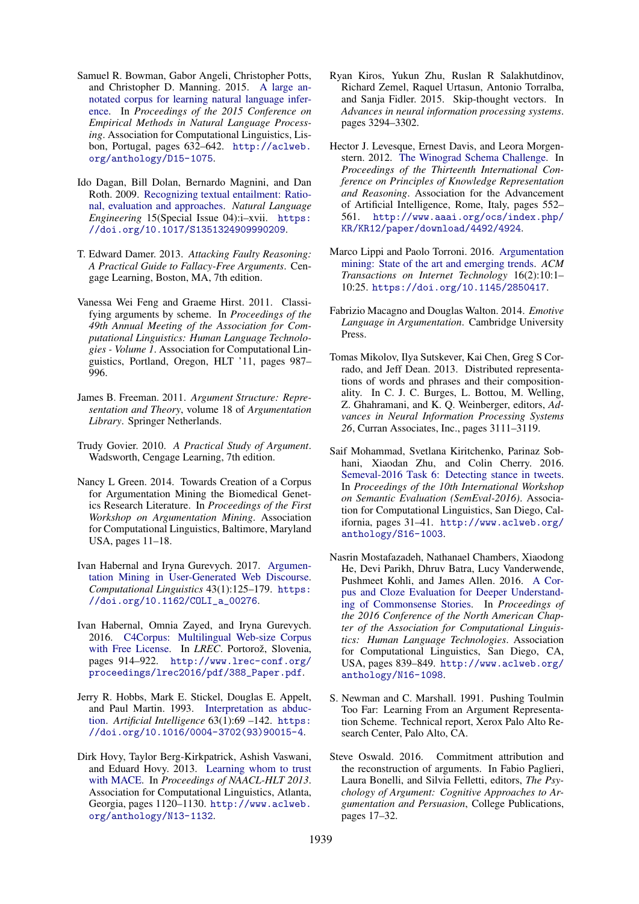- Samuel R. Bowman, Gabor Angeli, Christopher Potts, and Christopher D. Manning. 2015. A large annotated corpus for learning natural language inference. In *Proceedings of the 2015 Conference on Empirical Methods in Natural Language Processing*. Association for Computational Linguistics, Lisbon, Portugal, pages 632–642. http://aclweb. org/anthology/D15-1075.
- Ido Dagan, Bill Dolan, Bernardo Magnini, and Dan Roth. 2009. Recognizing textual entailment: Rational, evaluation and approaches. *Natural Language Engineering* 15(Special Issue 04):i–xvii. https: //doi.org/10.1017/S1351324909990209.
- T. Edward Damer. 2013. *Attacking Faulty Reasoning: A Practical Guide to Fallacy-Free Arguments*. Cengage Learning, Boston, MA, 7th edition.
- Vanessa Wei Feng and Graeme Hirst. 2011. Classifying arguments by scheme. In *Proceedings of the 49th Annual Meeting of the Association for Computational Linguistics: Human Language Technologies - Volume 1*. Association for Computational Linguistics, Portland, Oregon, HLT '11, pages 987– 996.
- James B. Freeman. 2011. *Argument Structure: Representation and Theory*, volume 18 of *Argumentation Library*. Springer Netherlands.
- Trudy Govier. 2010. *A Practical Study of Argument*. Wadsworth, Cengage Learning, 7th edition.
- Nancy L Green. 2014. Towards Creation of a Corpus for Argumentation Mining the Biomedical Genetics Research Literature. In *Proceedings of the First Workshop on Argumentation Mining*. Association for Computational Linguistics, Baltimore, Maryland USA, pages 11–18.
- Ivan Habernal and Iryna Gurevych. 2017. Argumentation Mining in User-Generated Web Discourse. *Computational Linguistics* 43(1):125–179. https: //doi.org/10.1162/COLI\_a\_00276.
- Ivan Habernal, Omnia Zayed, and Iryna Gurevych. 2016. C4Corpus: Multilingual Web-size Corpus with Free License. In *LREC*. Portorož, Slovenia, pages 914–922. http://www.lrec-conf.org/ proceedings/lrec2016/pdf/388\_Paper.pdf.
- Jerry R. Hobbs, Mark E. Stickel, Douglas E. Appelt, and Paul Martin. 1993. Interpretation as abduction. *Artificial Intelligence* 63(1):69 –142. https: //doi.org/10.1016/0004-3702(93)90015-4.
- Dirk Hovy, Taylor Berg-Kirkpatrick, Ashish Vaswani, and Eduard Hovy. 2013. Learning whom to trust with MACE. In *Proceedings of NAACL-HLT 2013*. Association for Computational Linguistics, Atlanta, Georgia, pages 1120–1130. http://www.aclweb. org/anthology/N13-1132.
- Ryan Kiros, Yukun Zhu, Ruslan R Salakhutdinov, Richard Zemel, Raquel Urtasun, Antonio Torralba, and Sanja Fidler. 2015. Skip-thought vectors. In *Advances in neural information processing systems*. pages 3294–3302.
- Hector J. Levesque, Ernest Davis, and Leora Morgenstern. 2012. The Winograd Schema Challenge. In *Proceedings of the Thirteenth International Conference on Principles of Knowledge Representation and Reasoning*. Association for the Advancement of Artificial Intelligence, Rome, Italy, pages 552– 561. http://www.aaai.org/ocs/index.php/ KR/KR12/paper/download/4492/4924.
- Marco Lippi and Paolo Torroni. 2016. Argumentation mining: State of the art and emerging trends. *ACM Transactions on Internet Technology* 16(2):10:1– 10:25. https://doi.org/10.1145/2850417.
- Fabrizio Macagno and Douglas Walton. 2014. *Emotive Language in Argumentation*. Cambridge University Press.
- Tomas Mikolov, Ilya Sutskever, Kai Chen, Greg S Corrado, and Jeff Dean. 2013. Distributed representations of words and phrases and their compositionality. In C. J. C. Burges, L. Bottou, M. Welling, Z. Ghahramani, and K. Q. Weinberger, editors, *Advances in Neural Information Processing Systems 26*, Curran Associates, Inc., pages 3111–3119.
- Saif Mohammad, Svetlana Kiritchenko, Parinaz Sobhani, Xiaodan Zhu, and Colin Cherry. 2016. Semeval-2016 Task 6: Detecting stance in tweets. In *Proceedings of the 10th International Workshop on Semantic Evaluation (SemEval-2016)*. Association for Computational Linguistics, San Diego, California, pages 31–41. http://www.aclweb.org/ anthology/S16-1003.
- Nasrin Mostafazadeh, Nathanael Chambers, Xiaodong He, Devi Parikh, Dhruv Batra, Lucy Vanderwende, Pushmeet Kohli, and James Allen. 2016. A Corpus and Cloze Evaluation for Deeper Understanding of Commonsense Stories. In *Proceedings of the 2016 Conference of the North American Chapter of the Association for Computational Linguistics: Human Language Technologies*. Association for Computational Linguistics, San Diego, CA, USA, pages 839–849. http://www.aclweb.org/ anthology/N16-1098.
- S. Newman and C. Marshall. 1991. Pushing Toulmin Too Far: Learning From an Argument Representation Scheme. Technical report, Xerox Palo Alto Research Center, Palo Alto, CA.
- Steve Oswald. 2016. Commitment attribution and the reconstruction of arguments. In Fabio Paglieri, Laura Bonelli, and Silvia Felletti, editors, *The Psychology of Argument: Cognitive Approaches to Argumentation and Persuasion*, College Publications, pages 17–32.